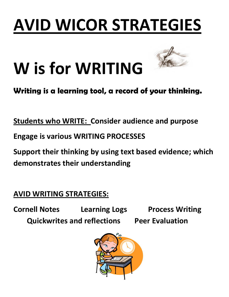### **AVID WICOR STRATEGIES**

# **W is for WRITING**



#### **Writing is a learning tool, a record of your thinking.**

**Students who WRITE: Consider audience and purpose**

**Engage is various WRITING PROCESSES** 

**Support their thinking by using text based evidence; which demonstrates their understanding**

**AVID WRITING STRATEGIES:**

**Cornell Notes Learning Logs Process Writing Quickwrites and reflections Peer Evaluation**

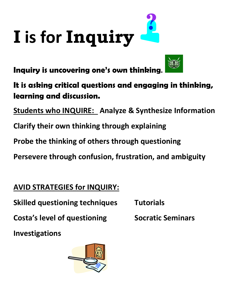

**Inquiry is uncovering one's own thinking.**



**It is asking critical questions and engaging in thinking, learning and discussion.**

**Students who INQUIRE: Analyze & Synthesize Information**

**Clarify their own thinking through explaining**

**Probe the thinking of others through questioning**

**Persevere through confusion, frustration, and ambiguity**

**AVID STRATEGIES for INQUIRY:**

**Skilled questioning techniques Tutorials**

**Costa's level of questioning Socratic Seminars** 

**Investigations**

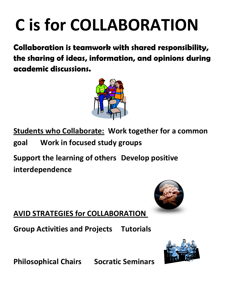## **C is for COLLABORATION**

**Collaboration is teamwork with shared responsibility, the sharing of ideas, information, and opinions during academic discussions.**



**Students who Collaborate: Work together for a common goal Work in focused study groups**

**Support the learning of others Develop positive interdependence**



**AVID STRATEGIES for COLLABORATION** 

**Group Activities and Projects Tutorials**



**Philosophical Chairs Socratic Seminars**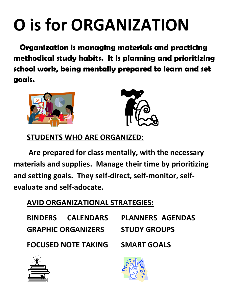### **O is for ORGANIZATION**

 **Organization is managing materials and practicing methodical study habits. It is planning and prioritizing school work, being mentally prepared to learn and set goals.** 





**STUDENTS WHO ARE ORGANIZED:** 

**Are prepared for class mentally, with the necessary materials and supplies. Manage their time by prioritizing and setting goals. They self-direct, self-monitor, selfevaluate and self-adocate.**

#### **AVID ORGANIZATIONAL STRATEGIES:**

|                            | <b>BINDERS CALENDARS</b> | <b>PLANNERS AGENDAS</b> |  |
|----------------------------|--------------------------|-------------------------|--|
| <b>GRAPHIC ORGANIZERS</b>  |                          | <b>STUDY GROUPS</b>     |  |
| <b>FOCUSED NOTE TAKING</b> |                          | <b>SMART GOALS</b>      |  |